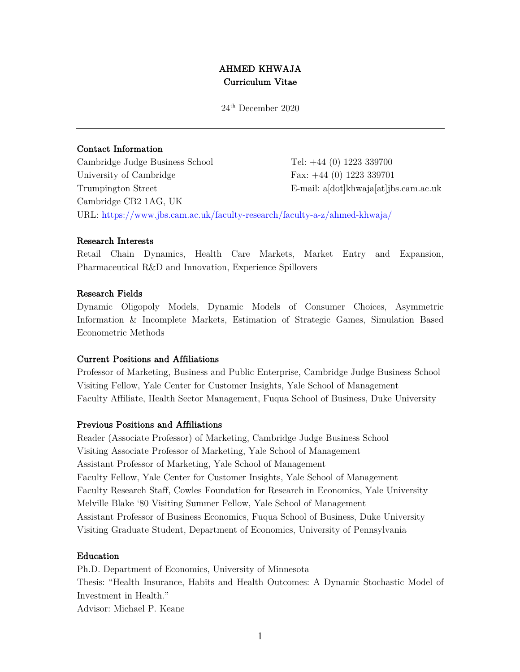# AHMED KHWAJA Curriculum Vitae

24th December 2020

# Contact Information

Cambridge Judge Business School Tel: +44 (0) 1223 339700 University of Cambridge Fax: +44 (0) 1223 339701 Trumpington Street E-mail: a[dot]khwaja[at]jbs.cam.ac.uk Cambridge CB2 1AG, UK URL: https://www.jbs.cam.ac.uk/faculty-research/faculty-a-z/ahmed-khwaja/

### Research Interests

Retail Chain Dynamics, Health Care Markets, Market Entry and Expansion, Pharmaceutical R&D and Innovation, Experience Spillovers

### Research Fields

Dynamic Oligopoly Models, Dynamic Models of Consumer Choices, Asymmetric Information & Incomplete Markets, Estimation of Strategic Games, Simulation Based Econometric Methods

# Current Positions and Affiliations

Professor of Marketing, Business and Public Enterprise, Cambridge Judge Business School Visiting Fellow, Yale Center for Customer Insights, Yale School of Management Faculty Affiliate, Health Sector Management, Fuqua School of Business, Duke University

#### Previous Positions and Affiliations

Reader (Associate Professor) of Marketing, Cambridge Judge Business School Visiting Associate Professor of Marketing, Yale School of Management Assistant Professor of Marketing, Yale School of Management Faculty Fellow, Yale Center for Customer Insights, Yale School of Management Faculty Research Staff, Cowles Foundation for Research in Economics, Yale University Melville Blake '80 Visiting Summer Fellow, Yale School of Management Assistant Professor of Business Economics, Fuqua School of Business, Duke University Visiting Graduate Student, Department of Economics, University of Pennsylvania

### Education

Ph.D. Department of Economics, University of Minnesota Thesis: "Health Insurance, Habits and Health Outcomes: A Dynamic Stochastic Model of Investment in Health." Advisor: Michael P. Keane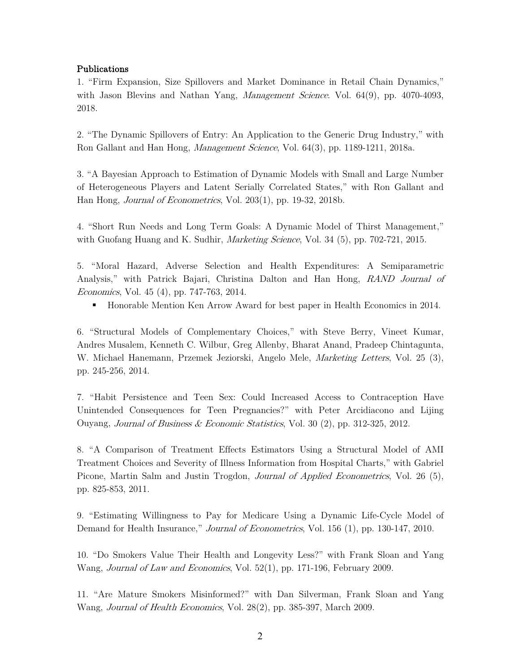# Publications

1. "Firm Expansion, Size Spillovers and Market Dominance in Retail Chain Dynamics," with Jason Blevins and Nathan Yang, *Management Science*. Vol. 64(9), pp. 4070-4093, 2018.

2. "The Dynamic Spillovers of Entry: An Application to the Generic Drug Industry," with Ron Gallant and Han Hong, Management Science, Vol. 64(3), pp. 1189-1211, 2018a.

3. "A Bayesian Approach to Estimation of Dynamic Models with Small and Large Number of Heterogeneous Players and Latent Serially Correlated States," with Ron Gallant and Han Hong, Journal of Econometrics, Vol. 203(1), pp. 19-32, 2018b.

4. "Short Run Needs and Long Term Goals: A Dynamic Model of Thirst Management," with Guofang Huang and K. Sudhir, *Marketing Science*, Vol. 34 (5), pp. 702-721, 2015.

5. "Moral Hazard, Adverse Selection and Health Expenditures: A Semiparametric Analysis," with Patrick Bajari, Christina Dalton and Han Hong, RAND Journal of Economics, Vol. 45 (4), pp. 747-763, 2014.

§ Honorable Mention Ken Arrow Award for best paper in Health Economics in 2014.

6. "Structural Models of Complementary Choices," with Steve Berry, Vineet Kumar, Andres Musalem, Kenneth C. Wilbur, Greg Allenby, Bharat Anand, Pradeep Chintagunta, W. Michael Hanemann, Przemek Jeziorski, Angelo Mele, Marketing Letters, Vol. 25 (3), pp. 245-256, 2014.

7. "Habit Persistence and Teen Sex: Could Increased Access to Contraception Have Unintended Consequences for Teen Pregnancies?" with Peter Arcidiacono and Lijing Ouyang, Journal of Business & Economic Statistics, Vol. 30 (2), pp. 312-325, 2012.

8. "A Comparison of Treatment Effects Estimators Using a Structural Model of AMI Treatment Choices and Severity of Illness Information from Hospital Charts," with Gabriel Picone, Martin Salm and Justin Trogdon, *Journal of Applied Econometrics*, Vol. 26 (5), pp. 825-853, 2011.

9. "Estimating Willingness to Pay for Medicare Using a Dynamic Life-Cycle Model of Demand for Health Insurance," *Journal of Econometrics*, Vol. 156 (1), pp. 130-147, 2010.

10. "Do Smokers Value Their Health and Longevity Less?" with Frank Sloan and Yang Wang, Journal of Law and Economics, Vol. 52(1), pp. 171-196, February 2009.

11. "Are Mature Smokers Misinformed?" with Dan Silverman, Frank Sloan and Yang Wang, Journal of Health Economics, Vol. 28(2), pp. 385-397, March 2009.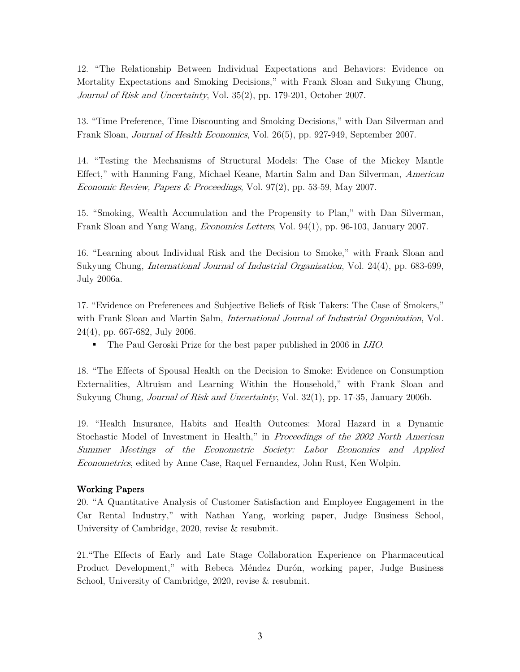12. "The Relationship Between Individual Expectations and Behaviors: Evidence on Mortality Expectations and Smoking Decisions," with Frank Sloan and Sukyung Chung, Journal of Risk and Uncertainty, Vol. 35(2), pp. 179-201, October 2007.

13. "Time Preference, Time Discounting and Smoking Decisions," with Dan Silverman and Frank Sloan, Journal of Health Economics, Vol. 26(5), pp. 927-949, September 2007.

14. "Testing the Mechanisms of Structural Models: The Case of the Mickey Mantle Effect," with Hanming Fang, Michael Keane, Martin Salm and Dan Silverman, American Economic Review, Papers & Proceedings, Vol. 97(2), pp. 53-59, May 2007.

15. "Smoking, Wealth Accumulation and the Propensity to Plan," with Dan Silverman, Frank Sloan and Yang Wang, Economics Letters, Vol. 94(1), pp. 96-103, January 2007.

16. "Learning about Individual Risk and the Decision to Smoke," with Frank Sloan and Sukyung Chung, International Journal of Industrial Organization, Vol. 24(4), pp. 683-699, July 2006a.

17. "Evidence on Preferences and Subjective Beliefs of Risk Takers: The Case of Smokers," with Frank Sloan and Martin Salm, *International Journal of Industrial Organization*, Vol. 24(4), pp. 667-682, July 2006.

■ The Paul Geroski Prize for the best paper published in 2006 in *IJIO*.

18. "The Effects of Spousal Health on the Decision to Smoke: Evidence on Consumption Externalities, Altruism and Learning Within the Household," with Frank Sloan and Sukyung Chung, *Journal of Risk and Uncertainty*, Vol. 32(1), pp. 17-35, January 2006b.

19. "Health Insurance, Habits and Health Outcomes: Moral Hazard in a Dynamic Stochastic Model of Investment in Health," in Proceedings of the 2002 North American Summer Meetings of the Econometric Society: Labor Economics and Applied Econometrics, edited by Anne Case, Raquel Fernandez, John Rust, Ken Wolpin.

# Working Papers

20. "A Quantitative Analysis of Customer Satisfaction and Employee Engagement in the Car Rental Industry," with Nathan Yang, working paper, Judge Business School, University of Cambridge, 2020, revise & resubmit.

21."The Effects of Early and Late Stage Collaboration Experience on Pharmaceutical Product Development," with Rebeca Méndez Durón, working paper, Judge Business School, University of Cambridge, 2020, revise & resubmit.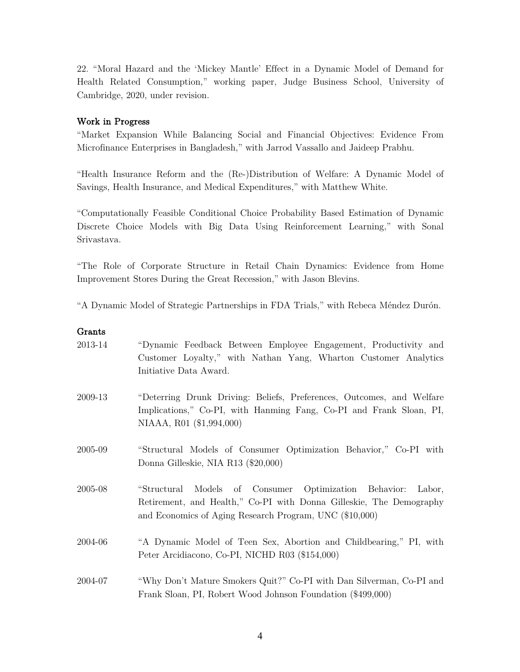22. "Moral Hazard and the 'Mickey Mantle' Effect in a Dynamic Model of Demand for Health Related Consumption," working paper, Judge Business School, University of Cambridge, 2020, under revision.

# Work in Progress

"Market Expansion While Balancing Social and Financial Objectives: Evidence From Microfinance Enterprises in Bangladesh," with Jarrod Vassallo and Jaideep Prabhu.

"Health Insurance Reform and the (Re-)Distribution of Welfare: A Dynamic Model of Savings, Health Insurance, and Medical Expenditures," with Matthew White.

"Computationally Feasible Conditional Choice Probability Based Estimation of Dynamic Discrete Choice Models with Big Data Using Reinforcement Learning," with Sonal Srivastava.

"The Role of Corporate Structure in Retail Chain Dynamics: Evidence from Home Improvement Stores During the Great Recession," with Jason Blevins.

"A Dynamic Model of Strategic Partnerships in FDA Trials," with Rebeca Méndez Durón.

#### Grants

| 2013-14 | "Dynamic Feedback Between Employee Engagement, Productivity and<br>Customer Loyalty," with Nathan Yang, Wharton Customer Analytics<br>Initiative Data Award.                                      |
|---------|---------------------------------------------------------------------------------------------------------------------------------------------------------------------------------------------------|
| 2009-13 | "Deterring Drunk Driving: Beliefs, Preferences, Outcomes, and Welfare<br>Implications," Co-PI, with Hanming Fang, Co-PI and Frank Sloan, PI,<br>NIAAA, R01 (\$1,994,000)                          |
| 2005-09 | "Structural Models of Consumer Optimization Behavior," Co-PI with<br>Donna Gilleskie, NIA R13 (\$20,000)                                                                                          |
| 2005-08 | "Structural Models of Consumer Optimization Behavior:<br>Labor,<br>Retirement, and Health," Co-PI with Donna Gilleskie, The Demography<br>and Economics of Aging Research Program, UNC (\$10,000) |
| 2004-06 | "A Dynamic Model of Teen Sex, Abortion and Childbearing," PI, with<br>Peter Arcidiacono, Co-PI, NICHD R03 (\$154,000)                                                                             |
| 2004-07 | "Why Don't Mature Smokers Quit?" Co-PI with Dan Silverman, Co-PI and<br>Frank Sloan, PI, Robert Wood Johnson Foundation (\$499,000)                                                               |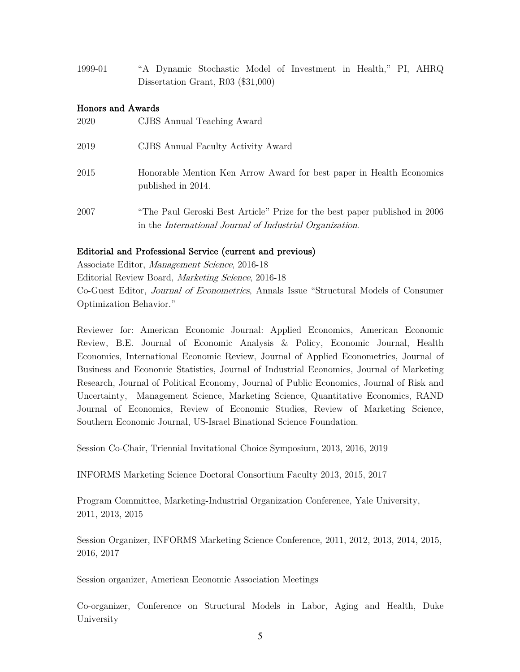1999-01 "A Dynamic Stochastic Model of Investment in Health," PI, AHRQ Dissertation Grant, R03 (\$31,000)

# Honors and Awards

| 2020 | CJBS Annual Teaching Award                                                                                                                     |
|------|------------------------------------------------------------------------------------------------------------------------------------------------|
| 2019 | CJBS Annual Faculty Activity Award                                                                                                             |
| 2015 | Honorable Mention Ken Arrow Award for best paper in Health Economics<br>published in 2014.                                                     |
| 2007 | "The Paul Geroski Best Article" Prize for the best paper published in 2006<br>in the <i>International Journal of Industrial Organization</i> . |

### Editorial and Professional Service (current and previous)

Associate Editor, Management Science, 2016-18 Editorial Review Board, Marketing Science, 2016-18 Co-Guest Editor, Journal of Econometrics, Annals Issue "Structural Models of Consumer Optimization Behavior."

Reviewer for: American Economic Journal: Applied Economics, American Economic Review, B.E. Journal of Economic Analysis & Policy, Economic Journal, Health Economics, International Economic Review, Journal of Applied Econometrics, Journal of Business and Economic Statistics, Journal of Industrial Economics, Journal of Marketing Research, Journal of Political Economy, Journal of Public Economics, Journal of Risk and Uncertainty, Management Science, Marketing Science, Quantitative Economics, RAND Journal of Economics, Review of Economic Studies, Review of Marketing Science, Southern Economic Journal, US-Israel Binational Science Foundation.

Session Co-Chair, Triennial Invitational Choice Symposium, 2013, 2016, 2019

INFORMS Marketing Science Doctoral Consortium Faculty 2013, 2015, 2017

Program Committee, Marketing-Industrial Organization Conference, Yale University, 2011, 2013, 2015

Session Organizer, INFORMS Marketing Science Conference, 2011, 2012, 2013, 2014, 2015, 2016, 2017

Session organizer, American Economic Association Meetings

Co-organizer, Conference on Structural Models in Labor, Aging and Health, Duke University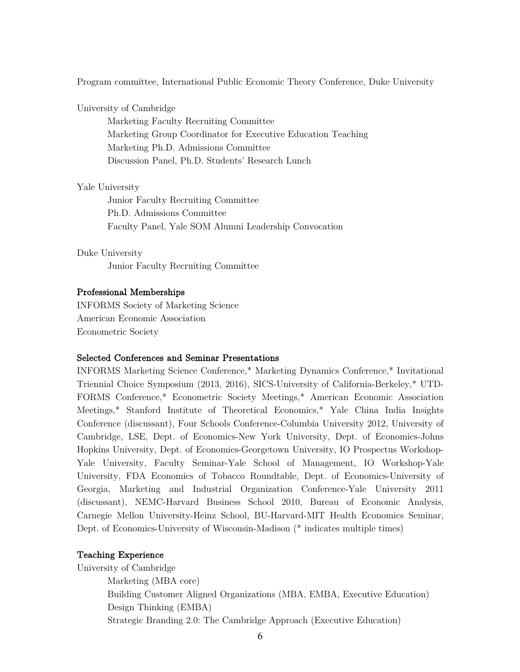Program committee, International Public Economic Theory Conference, Duke University

University of Cambridge

Marketing Faculty Recruiting Committee Marketing Group Coordinator for Executive Education Teaching Marketing Ph.D. Admissions Committee Discussion Panel, Ph.D. Students' Research Lunch

#### Yale University

Junior Faculty Recruiting Committee Ph.D. Admissions Committee Faculty Panel, Yale SOM Alumni Leadership Convocation

Duke University Junior Faculty Recruiting Committee

#### Professional Memberships

INFORMS Society of Marketing Science American Economic Association Econometric Society

#### Selected Conferences and Seminar Presentations

INFORMS Marketing Science Conference,\* Marketing Dynamics Conference,\* Invitational Triennial Choice Symposium (2013, 2016), SICS-University of California-Berkeley,\* UTD-FORMS Conference,\* Econometric Society Meetings,\* American Economic Association Meetings,\* Stanford Institute of Theoretical Economics,\* Yale China India Insights Conference (discussant), Four Schools Conference-Columbia University 2012, University of Cambridge, LSE, Dept. of Economics-New York University, Dept. of Economics-Johns Hopkins University, Dept. of Economics-Georgetown University, IO Prospectus Workshop-Yale University, Faculty Seminar-Yale School of Management, IO Workshop-Yale University, FDA Economics of Tobacco Roundtable, Dept. of Economics-University of Georgia, Marketing and Industrial Organization Conference-Yale University 2011 (discussant), NEMC-Harvard Business School 2010, Bureau of Economic Analysis, Carnegie Mellon University-Heinz School, BU-Harvard-MIT Health Economics Seminar, Dept. of Economics-University of Wisconsin-Madison (\* indicates multiple times)

#### Teaching Experience

University of Cambridge Marketing (MBA core) Building Customer Aligned Organizations (MBA, EMBA, Executive Education) Design Thinking (EMBA) Strategic Branding 2.0: The Cambridge Approach (Executive Education)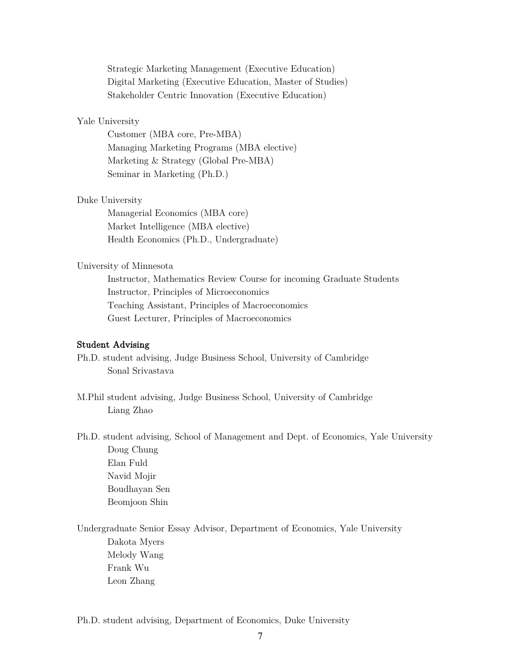Strategic Marketing Management (Executive Education) Digital Marketing (Executive Education, Master of Studies) Stakeholder Centric Innovation (Executive Education)

# Yale University

Customer (MBA core, Pre-MBA) Managing Marketing Programs (MBA elective) Marketing & Strategy (Global Pre-MBA) Seminar in Marketing (Ph.D.)

#### Duke University

Managerial Economics (MBA core) Market Intelligence (MBA elective) Health Economics (Ph.D., Undergraduate)

### University of Minnesota

Instructor, Mathematics Review Course for incoming Graduate Students Instructor, Principles of Microeconomics Teaching Assistant, Principles of Macroeconomics Guest Lecturer, Principles of Macroeconomics

# Student Advising

- Ph.D. student advising, Judge Business School, University of Cambridge Sonal Srivastava
- M.Phil student advising, Judge Business School, University of Cambridge Liang Zhao
- Ph.D. student advising, School of Management and Dept. of Economics, Yale University Doug Chung Elan Fuld Navid Mojir Boudhayan Sen Beomjoon Shin

Undergraduate Senior Essay Advisor, Department of Economics, Yale University Dakota Myers Melody Wang Frank Wu Leon Zhang

Ph.D. student advising, Department of Economics, Duke University